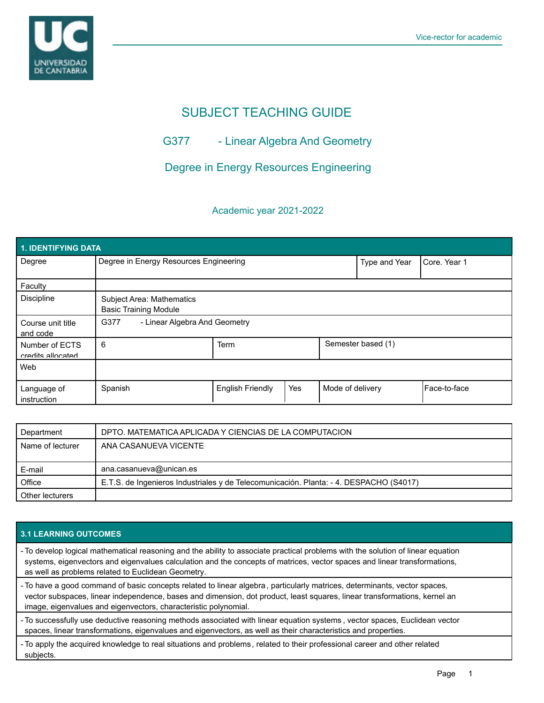

# SUBJECT TEACHING GUIDE

# G377 - Linear Algebra And Geometry

# Degree in Energy Resources Engineering

### Academic year 2021-2022

| 1. IDENTIFYING DATA                 |                                                                  |                         |     |                  |                    |                |  |  |  |  |
|-------------------------------------|------------------------------------------------------------------|-------------------------|-----|------------------|--------------------|----------------|--|--|--|--|
| Degree                              | Degree in Energy Resources Engineering                           |                         |     | Type and Year    | Core, Year 1       |                |  |  |  |  |
| Faculty                             |                                                                  |                         |     |                  |                    |                |  |  |  |  |
| Discipline                          | <b>Subject Area: Mathematics</b><br><b>Basic Training Module</b> |                         |     |                  |                    |                |  |  |  |  |
| Course unit title<br>and code       | G377<br>- Linear Algebra And Geometry                            |                         |     |                  |                    |                |  |  |  |  |
| Number of ECTS<br>credits allocated | 6                                                                | <b>Term</b>             |     |                  | Semester based (1) |                |  |  |  |  |
| Web                                 |                                                                  |                         |     |                  |                    |                |  |  |  |  |
| Language of<br>instruction          | Spanish                                                          | <b>English Friendly</b> | Yes | Mode of delivery |                    | l Face-to-face |  |  |  |  |

| Department       | DPTO. MATEMATICA APLICADA Y CIENCIAS DE LA COMPUTACION                                 |  |  |
|------------------|----------------------------------------------------------------------------------------|--|--|
| Name of lecturer | ANA CASANUEVA VICENTE                                                                  |  |  |
|                  |                                                                                        |  |  |
| E-mail           | ana.casanueva@unican.es                                                                |  |  |
| Office           | E.T.S. de Ingenieros Industriales y de Telecomunicación. Planta: - 4. DESPACHO (S4017) |  |  |
| Other lecturers  |                                                                                        |  |  |

### **3.1 LEARNING OUTCOMES**

- To develop logical mathematical reasoning and the ability to associate practical problems with the solution of linear equation systems, eigenvectors and eigenvalues calculation and the concepts of matrices, vector spaces and linear transformations, as well as problems related to Euclidean Geometry.
- To have a good command of basic concepts related to linear algebra , particularly matrices, determinants, vector spaces, vector subspaces, linear independence, bases and dimension, dot product, least squares, linear transformations, kernel an image, eigenvalues and eigenvectors, characteristic polynomial.
- To successfully use deductive reasoning methods associated with linear equation systems , vector spaces, Euclidean vector spaces, linear transformations, eigenvalues and eigenvectors, as well as their characteristics and properties.
- To apply the acquired knowledge to real situations and problems , related to their professional career and other related subjects.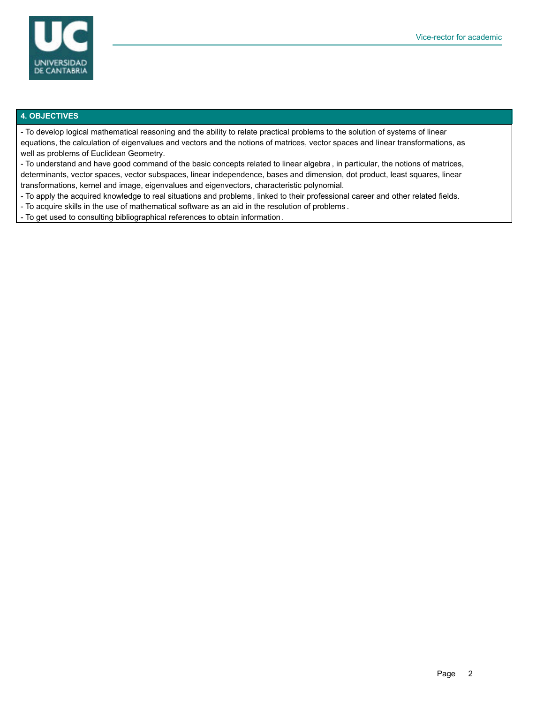

#### **4. OBJECTIVES**

- To develop logical mathematical reasoning and the ability to relate practical problems to the solution of systems of linear equations, the calculation of eigenvalues and vectors and the notions of matrices, vector spaces and linear transformations, as well as problems of Euclidean Geometry.

- To understand and have good command of the basic concepts related to linear algebra , in particular, the notions of matrices, determinants, vector spaces, vector subspaces, linear independence, bases and dimension, dot product, least squares, linear transformations, kernel and image, eigenvalues and eigenvectors, characteristic polynomial.

- To apply the acquired knowledge to real situations and problems , linked to their professional career and other related fields.

- To acquire skills in the use of mathematical software as an aid in the resolution of problems .

- To get used to consulting bibliographical references to obtain information .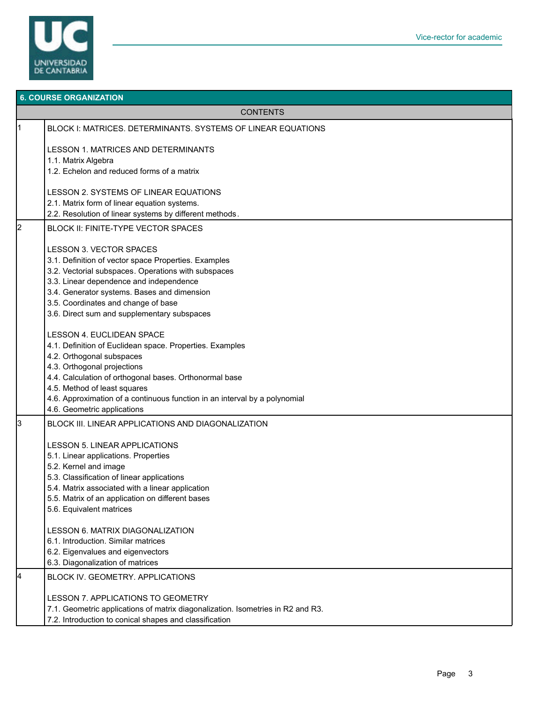

|                 | <b>6. COURSE ORGANIZATION</b>                                                   |  |  |  |  |
|-----------------|---------------------------------------------------------------------------------|--|--|--|--|
| <b>CONTENTS</b> |                                                                                 |  |  |  |  |
| l1              | BLOCK I: MATRICES. DETERMINANTS. SYSTEMS OF LINEAR EQUATIONS                    |  |  |  |  |
|                 | LESSON 1. MATRICES AND DETERMINANTS                                             |  |  |  |  |
|                 | 1.1. Matrix Algebra<br>1.2. Echelon and reduced forms of a matrix               |  |  |  |  |
|                 |                                                                                 |  |  |  |  |
|                 | LESSON 2. SYSTEMS OF LINEAR EQUATIONS                                           |  |  |  |  |
|                 | 2.1. Matrix form of linear equation systems.                                    |  |  |  |  |
|                 | 2.2. Resolution of linear systems by different methods.                         |  |  |  |  |
| 2               | BLOCK II: FINITE-TYPE VECTOR SPACES                                             |  |  |  |  |
|                 |                                                                                 |  |  |  |  |
|                 | <b>LESSON 3. VECTOR SPACES</b>                                                  |  |  |  |  |
|                 | 3.1. Definition of vector space Properties. Examples                            |  |  |  |  |
|                 | 3.2. Vectorial subspaces. Operations with subspaces                             |  |  |  |  |
|                 | 3.3. Linear dependence and independence                                         |  |  |  |  |
|                 | 3.4. Generator systems. Bases and dimension                                     |  |  |  |  |
|                 | 3.5. Coordinates and change of base                                             |  |  |  |  |
|                 | 3.6. Direct sum and supplementary subspaces                                     |  |  |  |  |
|                 | <b>LESSON 4. EUCLIDEAN SPACE</b>                                                |  |  |  |  |
|                 | 4.1. Definition of Euclidean space. Properties. Examples                        |  |  |  |  |
|                 | 4.2. Orthogonal subspaces                                                       |  |  |  |  |
|                 | 4.3. Orthogonal projections                                                     |  |  |  |  |
|                 | 4.4. Calculation of orthogonal bases. Orthonormal base                          |  |  |  |  |
|                 | 4.5. Method of least squares                                                    |  |  |  |  |
|                 | 4.6. Approximation of a continuous function in an interval by a polynomial      |  |  |  |  |
|                 | 4.6. Geometric applications                                                     |  |  |  |  |
| 3               | BLOCK III. LINEAR APPLICATIONS AND DIAGONALIZATION                              |  |  |  |  |
|                 | <b>LESSON 5. LINEAR APPLICATIONS</b>                                            |  |  |  |  |
|                 | 5.1. Linear applications. Properties                                            |  |  |  |  |
|                 | 5.2. Kernel and image                                                           |  |  |  |  |
|                 | 5.3. Classification of linear applications                                      |  |  |  |  |
|                 | 5.4. Matrix associated with a linear application                                |  |  |  |  |
|                 | 5.5. Matrix of an application on different bases                                |  |  |  |  |
|                 | 5.6. Equivalent matrices                                                        |  |  |  |  |
|                 | LESSON 6. MATRIX DIAGONALIZATION                                                |  |  |  |  |
|                 | 6.1. Introduction. Similar matrices                                             |  |  |  |  |
|                 | 6.2. Eigenvalues and eigenvectors                                               |  |  |  |  |
|                 | 6.3. Diagonalization of matrices                                                |  |  |  |  |
| 14              | BLOCK IV. GEOMETRY. APPLICATIONS                                                |  |  |  |  |
|                 | LESSON 7. APPLICATIONS TO GEOMETRY                                              |  |  |  |  |
|                 | 7.1. Geometric applications of matrix diagonalization. Isometries in R2 and R3. |  |  |  |  |
|                 | 7.2. Introduction to conical shapes and classification                          |  |  |  |  |